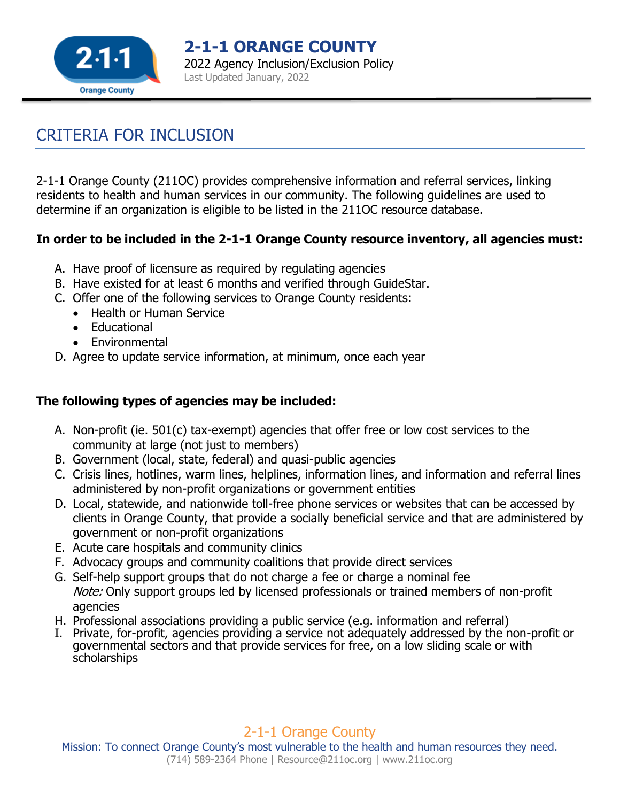

**2-1-1 ORANGE COUNTY** 2022 Agency Inclusion/Exclusion Policy Last Updated January, 2022

# CRITERIA FOR INCLUSION

2-1-1 Orange County (211OC) provides comprehensive information and referral services, linking residents to health and human services in our community. The following guidelines are used to determine if an organization is eligible to be listed in the 211OC resource database.

#### **In order to be included in the 2-1-1 Orange County resource inventory, all agencies must:**

- A. Have proof of licensure as required by regulating agencies
- B. Have existed for at least 6 months and verified through GuideStar.
- C. Offer one of the following services to Orange County residents:
	- Health or Human Service
	- Educational
	- Fnvironmental
- D. Agree to update service information, at minimum, once each year

### **The following types of agencies may be included:**

- A. Non-profit (ie. 501(c) tax-exempt) agencies that offer free or low cost services to the community at large (not just to members)
- B. Government (local, state, federal) and quasi-public agencies
- C. Crisis lines, hotlines, warm lines, helplines, information lines, and information and referral lines administered by non-profit organizations or government entities
- D. Local, statewide, and nationwide toll-free phone services or websites that can be accessed by clients in Orange County, that provide a socially beneficial service and that are administered by government or non-profit organizations
- E. Acute care hospitals and community clinics
- F. Advocacy groups and community coalitions that provide direct services
- G. Self-help support groups that do not charge a fee or charge a nominal fee Note: Only support groups led by licensed professionals or trained members of non-profit agencies
- H. Professional associations providing a public service (e.g. information and referral)
- I. Private, for-profit, agencies providing a service not adequately addressed by the non-profit or governmental sectors and that provide services for free, on a low sliding scale or with scholarships

2-1-1 Orange County

Mission: To connect Orange County's most vulnerable to the health and human resources they need. (714) 589-2364 Phone | [Resource@211oc.org](mailto:Resource@211oc.org) | [www.211oc.org](http://www.211oc.org/)